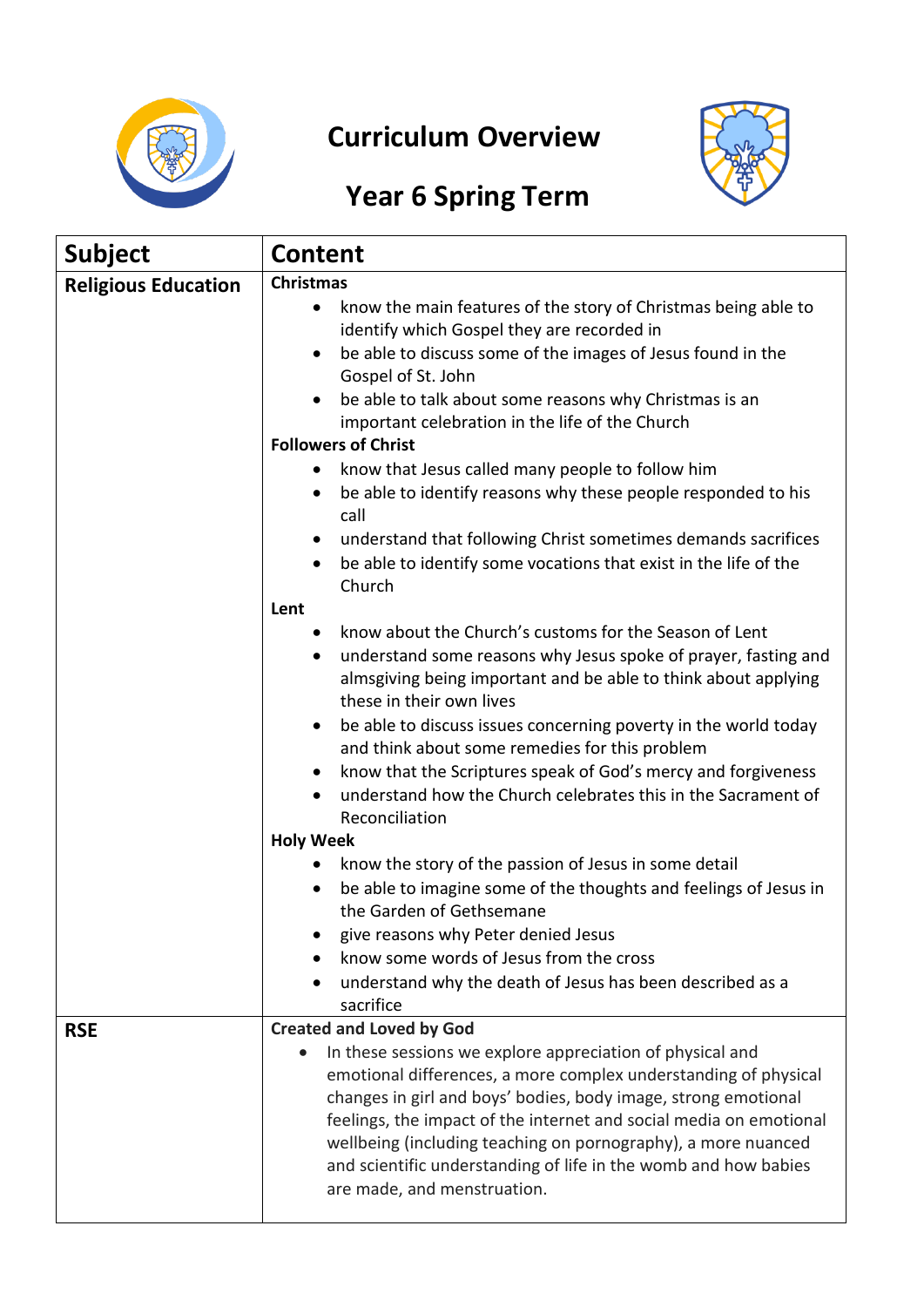

# **Curriculum Overview**



# **Year 6 Spring Term**

| <b>Subject</b>             | <b>Content</b>                                                                     |
|----------------------------|------------------------------------------------------------------------------------|
| <b>Religious Education</b> | <b>Christmas</b>                                                                   |
|                            | know the main features of the story of Christmas being able to<br>$\bullet$        |
|                            | identify which Gospel they are recorded in                                         |
|                            | be able to discuss some of the images of Jesus found in the                        |
|                            | Gospel of St. John                                                                 |
|                            | be able to talk about some reasons why Christmas is an                             |
|                            | important celebration in the life of the Church                                    |
|                            | <b>Followers of Christ</b>                                                         |
|                            | know that Jesus called many people to follow him                                   |
|                            | be able to identify reasons why these people responded to his<br>$\bullet$<br>call |
|                            | understand that following Christ sometimes demands sacrifices                      |
|                            | be able to identify some vocations that exist in the life of the<br>$\bullet$      |
|                            | Church                                                                             |
|                            | Lent                                                                               |
|                            | know about the Church's customs for the Season of Lent                             |
|                            | understand some reasons why Jesus spoke of prayer, fasting and<br>$\bullet$        |
|                            | almsgiving being important and be able to think about applying                     |
|                            | these in their own lives                                                           |
|                            | be able to discuss issues concerning poverty in the world today                    |
|                            | and think about some remedies for this problem                                     |
|                            | know that the Scriptures speak of God's mercy and forgiveness                      |
|                            | understand how the Church celebrates this in the Sacrament of                      |
|                            | Reconciliation<br><b>Holy Week</b>                                                 |
|                            | know the story of the passion of Jesus in some detail                              |
|                            | be able to imagine some of the thoughts and feelings of Jesus in<br>$\bullet$      |
|                            | the Garden of Gethsemane                                                           |
|                            | give reasons why Peter denied Jesus                                                |
|                            | know some words of Jesus from the cross                                            |
|                            | understand why the death of Jesus has been described as a                          |
|                            | sacrifice                                                                          |
| <b>RSE</b>                 | <b>Created and Loved by God</b>                                                    |
|                            | In these sessions we explore appreciation of physical and<br>$\bullet$             |
|                            | emotional differences, a more complex understanding of physical                    |
|                            | changes in girl and boys' bodies, body image, strong emotional                     |
|                            | feelings, the impact of the internet and social media on emotional                 |
|                            | wellbeing (including teaching on pornography), a more nuanced                      |
|                            | and scientific understanding of life in the womb and how babies                    |
|                            | are made, and menstruation.                                                        |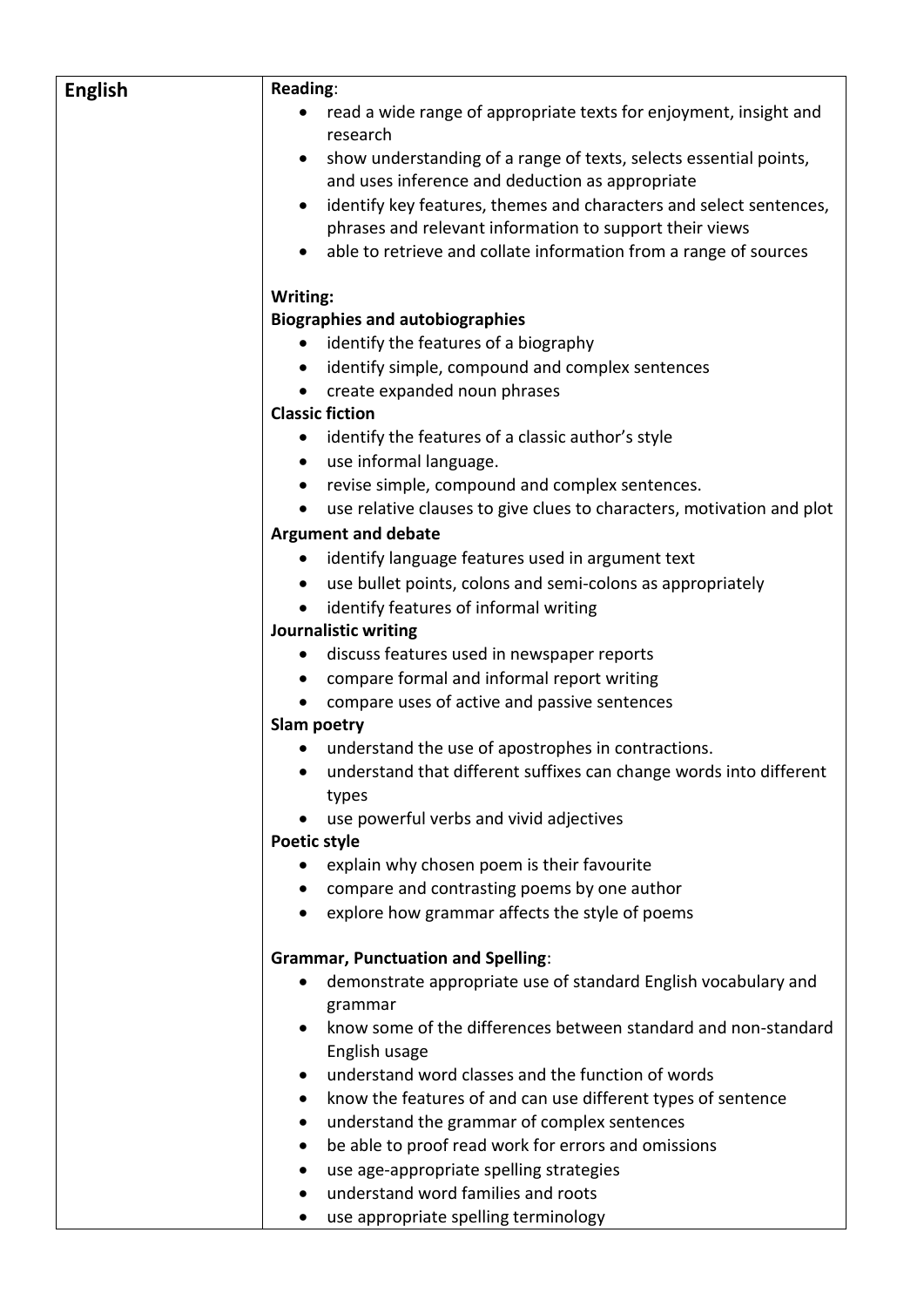| <b>English</b> | <b>Reading:</b>                                                         |
|----------------|-------------------------------------------------------------------------|
|                | read a wide range of appropriate texts for enjoyment, insight and       |
|                | research                                                                |
|                | show understanding of a range of texts, selects essential points,       |
|                | and uses inference and deduction as appropriate                         |
|                | identify key features, themes and characters and select sentences,      |
|                | phrases and relevant information to support their views                 |
|                | able to retrieve and collate information from a range of sources        |
|                | Writing:                                                                |
|                | <b>Biographies and autobiographies</b>                                  |
|                | identify the features of a biography                                    |
|                | identify simple, compound and complex sentences                         |
|                | create expanded noun phrases<br>$\bullet$                               |
|                | <b>Classic fiction</b>                                                  |
|                | identify the features of a classic author's style<br>$\bullet$          |
|                | use informal language.<br>$\bullet$                                     |
|                | revise simple, compound and complex sentences.                          |
|                | use relative clauses to give clues to characters, motivation and plot   |
|                | <b>Argument and debate</b>                                              |
|                | • identify language features used in argument text                      |
|                | use bullet points, colons and semi-colons as appropriately<br>$\bullet$ |
|                | identify features of informal writing                                   |
|                | Journalistic writing                                                    |
|                | discuss features used in newspaper reports                              |
|                | • compare formal and informal report writing                            |
|                | compare uses of active and passive sentences                            |
|                | <b>Slam poetry</b>                                                      |
|                | understand the use of apostrophes in contractions.                      |
|                | understand that different suffixes can change words into different      |
|                | types                                                                   |
|                | use powerful verbs and vivid adjectives                                 |
|                | <b>Poetic style</b>                                                     |
|                | explain why chosen poem is their favourite                              |
|                | compare and contrasting poems by one author                             |
|                | explore how grammar affects the style of poems                          |
|                |                                                                         |
|                | <b>Grammar, Punctuation and Spelling:</b>                               |
|                | demonstrate appropriate use of standard English vocabulary and          |
|                | grammar                                                                 |
|                | know some of the differences between standard and non-standard          |
|                | English usage                                                           |
|                | understand word classes and the function of words                       |
|                | know the features of and can use different types of sentence<br>٠       |
|                | understand the grammar of complex sentences<br>$\bullet$                |
|                | be able to proof read work for errors and omissions<br>٠                |
|                | use age-appropriate spelling strategies<br>$\bullet$                    |
|                | understand word families and roots                                      |
|                | use appropriate spelling terminology<br>٠                               |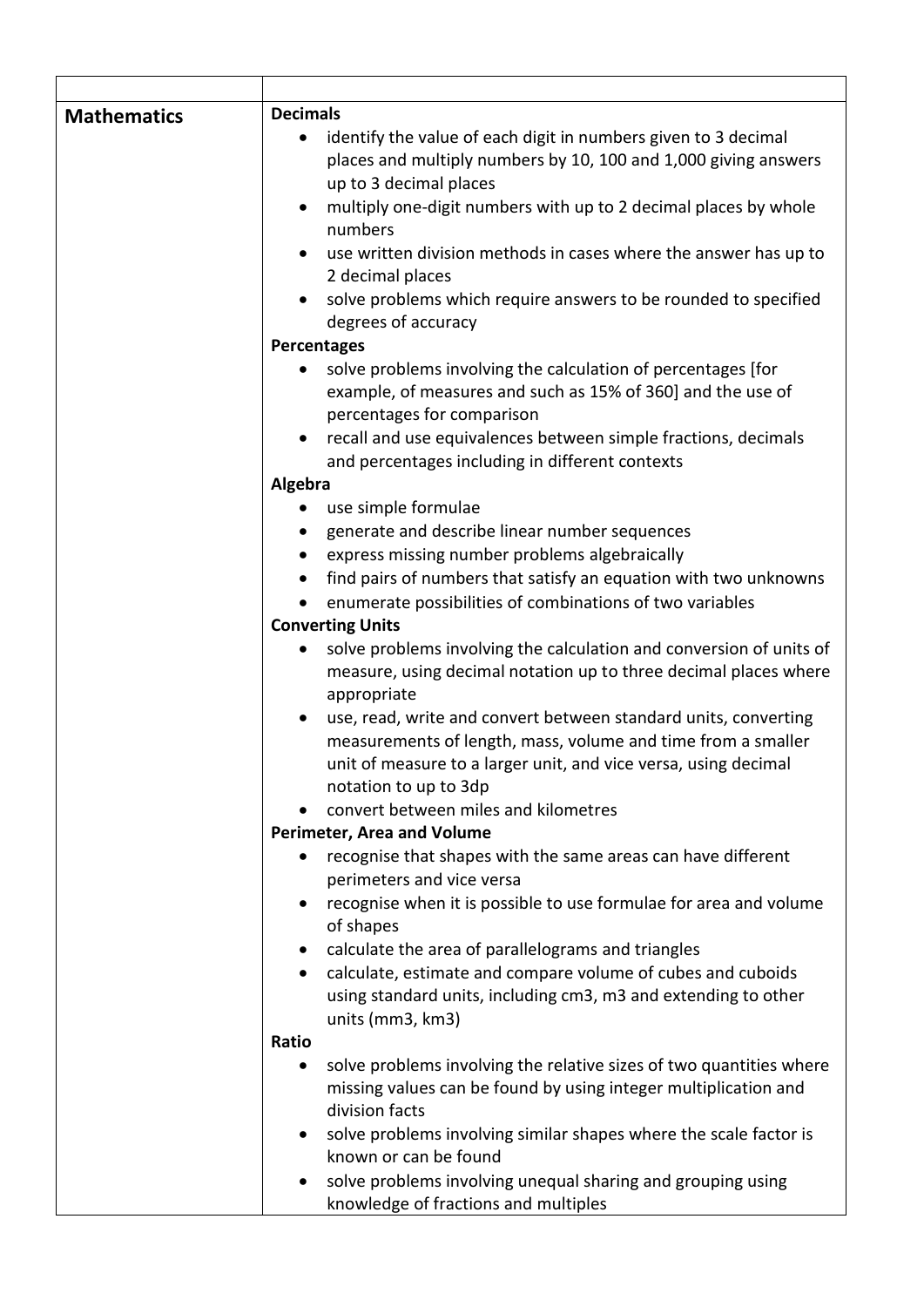| <b>Mathematics</b> | <b>Decimals</b>                                                                                                                                                  |
|--------------------|------------------------------------------------------------------------------------------------------------------------------------------------------------------|
|                    | identify the value of each digit in numbers given to 3 decimal<br>٠<br>places and multiply numbers by 10, 100 and 1,000 giving answers<br>up to 3 decimal places |
|                    | multiply one-digit numbers with up to 2 decimal places by whole<br>٠                                                                                             |
|                    | numbers                                                                                                                                                          |
|                    | use written division methods in cases where the answer has up to                                                                                                 |
|                    | 2 decimal places                                                                                                                                                 |
|                    | solve problems which require answers to be rounded to specified                                                                                                  |
|                    | degrees of accuracy                                                                                                                                              |
|                    | Percentages                                                                                                                                                      |
|                    | solve problems involving the calculation of percentages [for                                                                                                     |
|                    | example, of measures and such as 15% of 360] and the use of                                                                                                      |
|                    | percentages for comparison                                                                                                                                       |
|                    | recall and use equivalences between simple fractions, decimals                                                                                                   |
|                    | and percentages including in different contexts                                                                                                                  |
|                    | Algebra<br>use simple formulae                                                                                                                                   |
|                    | generate and describe linear number sequences<br>٠                                                                                                               |
|                    | express missing number problems algebraically<br>$\bullet$                                                                                                       |
|                    | find pairs of numbers that satisfy an equation with two unknowns<br>$\bullet$                                                                                    |
|                    | enumerate possibilities of combinations of two variables                                                                                                         |
|                    | <b>Converting Units</b>                                                                                                                                          |
|                    | solve problems involving the calculation and conversion of units of                                                                                              |
|                    | measure, using decimal notation up to three decimal places where                                                                                                 |
|                    | appropriate                                                                                                                                                      |
|                    | use, read, write and convert between standard units, converting                                                                                                  |
|                    | measurements of length, mass, volume and time from a smaller                                                                                                     |
|                    | unit of measure to a larger unit, and vice versa, using decimal<br>notation to up to 3dp                                                                         |
|                    | convert between miles and kilometres                                                                                                                             |
|                    | Perimeter, Area and Volume                                                                                                                                       |
|                    | recognise that shapes with the same areas can have different                                                                                                     |
|                    | perimeters and vice versa                                                                                                                                        |
|                    | recognise when it is possible to use formulae for area and volume<br>of shapes                                                                                   |
|                    | calculate the area of parallelograms and triangles                                                                                                               |
|                    | calculate, estimate and compare volume of cubes and cuboids<br>$\bullet$                                                                                         |
|                    | using standard units, including cm3, m3 and extending to other<br>units (mm3, km3)                                                                               |
|                    | Ratio                                                                                                                                                            |
|                    | solve problems involving the relative sizes of two quantities where                                                                                              |
|                    | missing values can be found by using integer multiplication and<br>division facts                                                                                |
|                    | solve problems involving similar shapes where the scale factor is<br>known or can be found                                                                       |
|                    | solve problems involving unequal sharing and grouping using<br>$\bullet$<br>knowledge of fractions and multiples                                                 |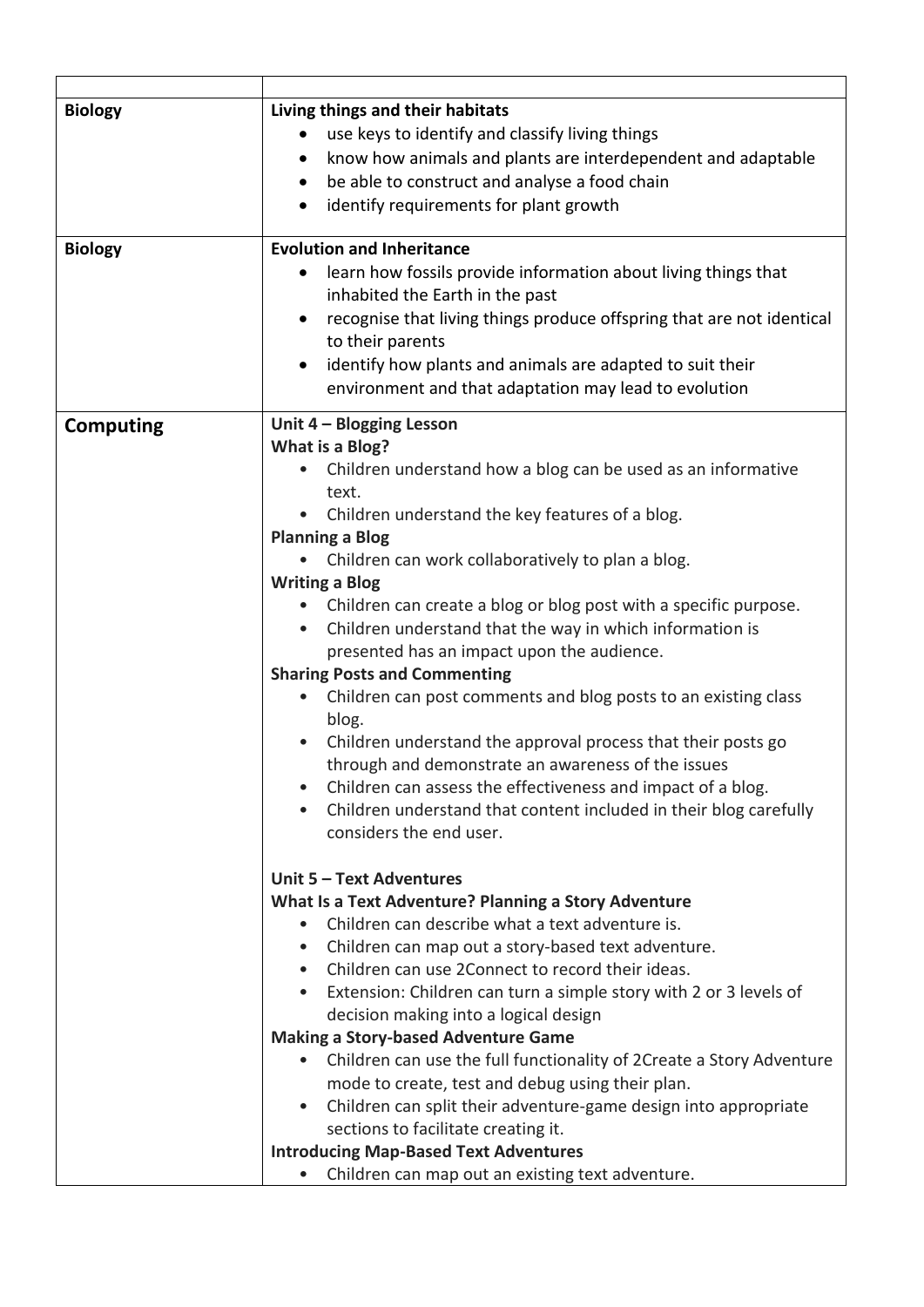| <b>Biology</b>   | Living things and their habitats<br>use keys to identify and classify living things               |
|------------------|---------------------------------------------------------------------------------------------------|
|                  | know how animals and plants are interdependent and adaptable<br>٠                                 |
|                  | be able to construct and analyse a food chain                                                     |
|                  | identify requirements for plant growth                                                            |
|                  |                                                                                                   |
| <b>Biology</b>   | <b>Evolution and Inheritance</b>                                                                  |
|                  | learn how fossils provide information about living things that<br>inhabited the Earth in the past |
|                  | recognise that living things produce offspring that are not identical<br>to their parents         |
|                  | identify how plants and animals are adapted to suit their                                         |
|                  | environment and that adaptation may lead to evolution                                             |
| <b>Computing</b> | Unit 4 - Blogging Lesson                                                                          |
|                  | What is a Blog?                                                                                   |
|                  | Children understand how a blog can be used as an informative<br>text.                             |
|                  | Children understand the key features of a blog.                                                   |
|                  | <b>Planning a Blog</b>                                                                            |
|                  | Children can work collaboratively to plan a blog.<br>$\bullet$                                    |
|                  | <b>Writing a Blog</b>                                                                             |
|                  | Children can create a blog or blog post with a specific purpose.                                  |
|                  | Children understand that the way in which information is<br>$\bullet$                             |
|                  | presented has an impact upon the audience.                                                        |
|                  | <b>Sharing Posts and Commenting</b>                                                               |
|                  | Children can post comments and blog posts to an existing class<br>$\bullet$<br>blog.              |
|                  | Children understand the approval process that their posts go<br>$\bullet$                         |
|                  | through and demonstrate an awareness of the issues                                                |
|                  | Children can assess the effectiveness and impact of a blog.                                       |
|                  | Children understand that content included in their blog carefully                                 |
|                  | considers the end user.                                                                           |
|                  |                                                                                                   |
|                  | Unit 5 - Text Adventures<br>What Is a Text Adventure? Planning a Story Adventure                  |
|                  | Children can describe what a text adventure is.                                                   |
|                  | Children can map out a story-based text adventure.<br>$\bullet$                                   |
|                  | • Children can use 2Connect to record their ideas.                                                |
|                  | Extension: Children can turn a simple story with 2 or 3 levels of<br>$\bullet$                    |
|                  | decision making into a logical design                                                             |
|                  | <b>Making a Story-based Adventure Game</b>                                                        |
|                  | Children can use the full functionality of 2Create a Story Adventure<br>$\bullet$                 |
|                  | mode to create, test and debug using their plan.                                                  |
|                  | Children can split their adventure-game design into appropriate<br>$\bullet$                      |
|                  | sections to facilitate creating it.                                                               |
|                  | <b>Introducing Map-Based Text Adventures</b>                                                      |
|                  | Children can map out an existing text adventure.                                                  |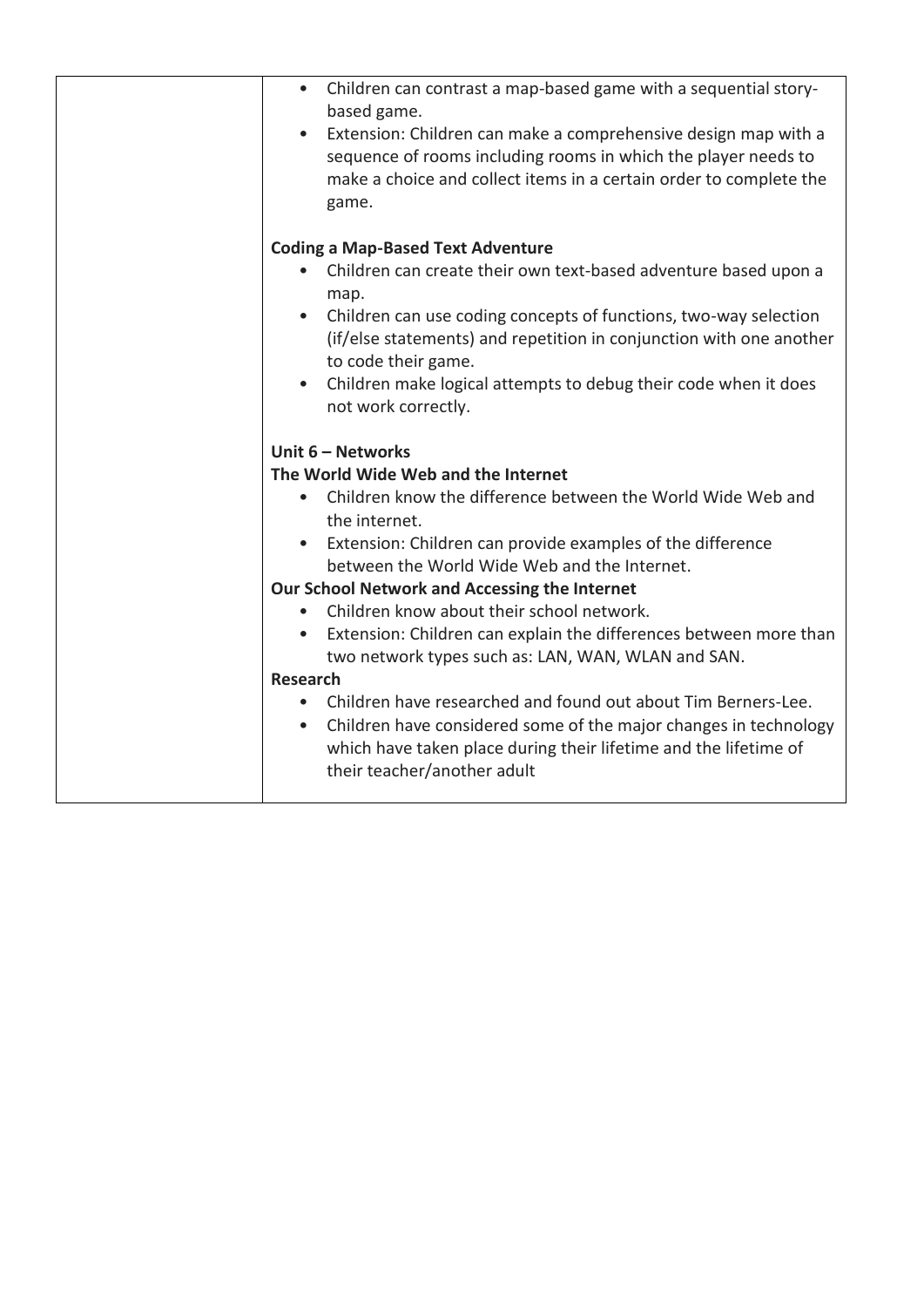| • Children can contrast a map-based game with a sequential story-<br>based game.                                                                                                                                             |
|------------------------------------------------------------------------------------------------------------------------------------------------------------------------------------------------------------------------------|
| Extension: Children can make a comprehensive design map with a<br>$\bullet$<br>sequence of rooms including rooms in which the player needs to<br>make a choice and collect items in a certain order to complete the<br>game. |
| <b>Coding a Map-Based Text Adventure</b>                                                                                                                                                                                     |
| Children can create their own text-based adventure based upon a<br>$\bullet$<br>map.                                                                                                                                         |
| • Children can use coding concepts of functions, two-way selection<br>(if/else statements) and repetition in conjunction with one another<br>to code their game.                                                             |
| • Children make logical attempts to debug their code when it does<br>not work correctly.                                                                                                                                     |
| Unit $6 -$ Networks                                                                                                                                                                                                          |
| The World Wide Web and the Internet                                                                                                                                                                                          |
| Children know the difference between the World Wide Web and<br>$\bullet$<br>the internet.                                                                                                                                    |
| • Extension: Children can provide examples of the difference                                                                                                                                                                 |
| between the World Wide Web and the Internet.                                                                                                                                                                                 |
| Our School Network and Accessing the Internet                                                                                                                                                                                |
| Children know about their school network.<br>$\bullet$                                                                                                                                                                       |
| • Extension: Children can explain the differences between more than                                                                                                                                                          |
| two network types such as: LAN, WAN, WLAN and SAN.                                                                                                                                                                           |
| <b>Research</b>                                                                                                                                                                                                              |
| Children have researched and found out about Tim Berners-Lee.<br>$\bullet$                                                                                                                                                   |
| Children have considered some of the major changes in technology<br>which have taken place during their lifetime and the lifetime of<br>their teacher/another adult                                                          |
|                                                                                                                                                                                                                              |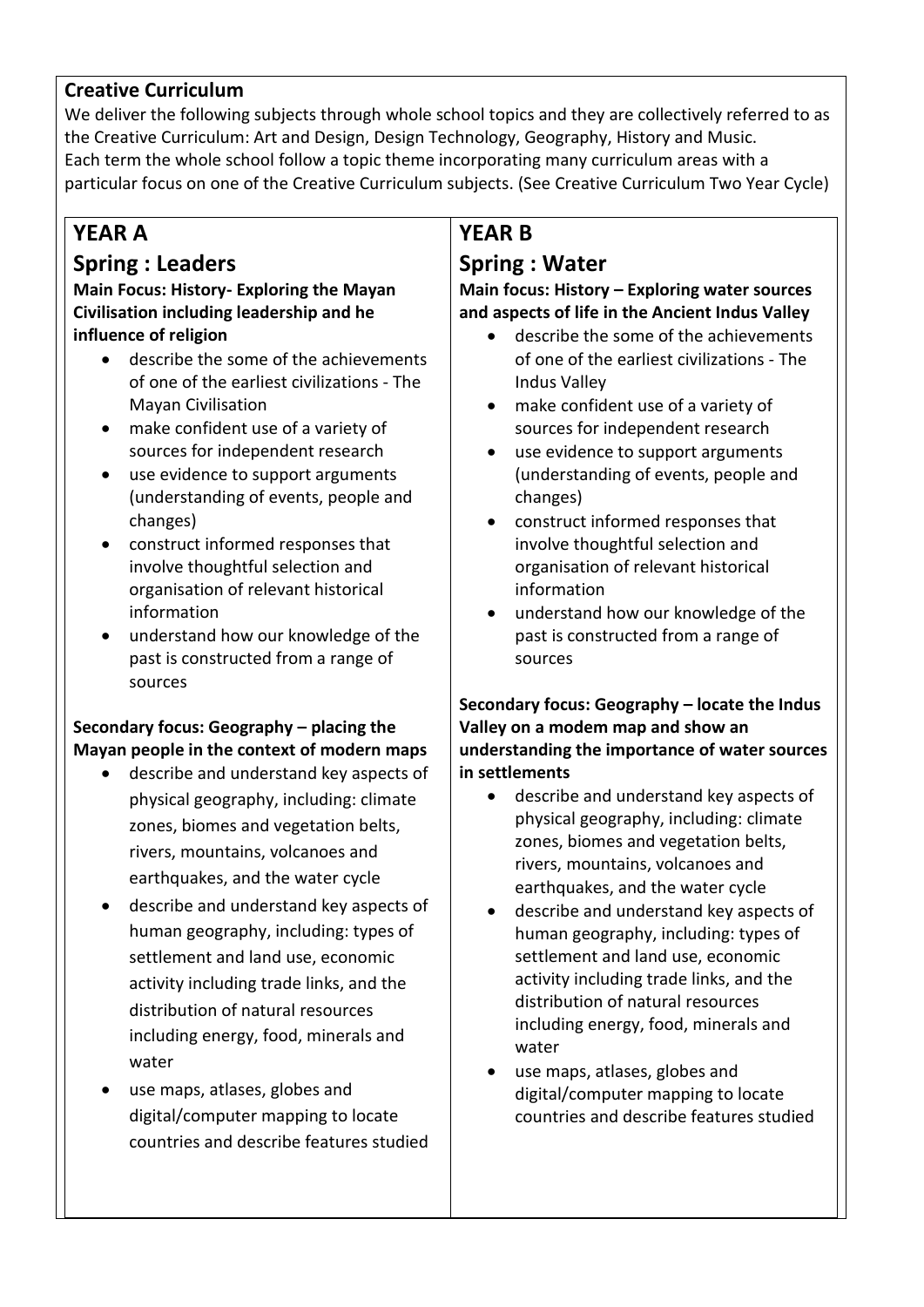#### **Creative Curriculum**

We deliver the following subjects through whole school topics and they are collectively referred to as the Creative Curriculum: Art and Design, Design Technology, Geography, History and Music. Each term the whole school follow a topic theme incorporating many curriculum areas with a particular focus on one of the Creative Curriculum subjects. (See Creative Curriculum Two Year Cycle)

## **YEAR A**

### **Spring : Leaders**

**Main Focus: History- Exploring the Mayan Civilisation including leadership and he influence of religion**

- describe the some of the achievements of one of the earliest civilizations - The Mayan Civilisation
- make confident use of a variety of sources for independent research
- use evidence to support arguments (understanding of events, people and changes)
- construct informed responses that involve thoughtful selection and organisation of relevant historical information
- understand how our knowledge of the past is constructed from a range of sources

#### **Secondary focus: Geography – placing the Mayan people in the context of modern maps**

- describe and understand key aspects of physical geography, including: climate zones, biomes and vegetation belts, rivers, mountains, volcanoes and earthquakes, and the water cycle
- describe and understand key aspects of human geography, including: types of settlement and land use, economic activity including trade links, and the distribution of natural resources including energy, food, minerals and water
- use maps, atlases, globes and digital/computer mapping to locate countries and describe features studied

## **YEAR B**

### **Spring : Water**

#### **Main focus: History – Exploring water sources and aspects of life in the Ancient Indus Valley**

- describe the some of the achievements of one of the earliest civilizations - The Indus Valley
- make confident use of a variety of sources for independent research
- use evidence to support arguments (understanding of events, people and changes)
- construct informed responses that involve thoughtful selection and organisation of relevant historical information
- understand how our knowledge of the past is constructed from a range of sources

#### **Secondary focus: Geography – locate the Indus Valley on a modem map and show an understanding the importance of water sources in settlements**

- describe and understand key aspects of physical geography, including: climate zones, biomes and vegetation belts, rivers, mountains, volcanoes and earthquakes, and the water cycle
- describe and understand key aspects of human geography, including: types of settlement and land use, economic activity including trade links, and the distribution of natural resources including energy, food, minerals and water
- use maps, atlases, globes and digital/computer mapping to locate countries and describe features studied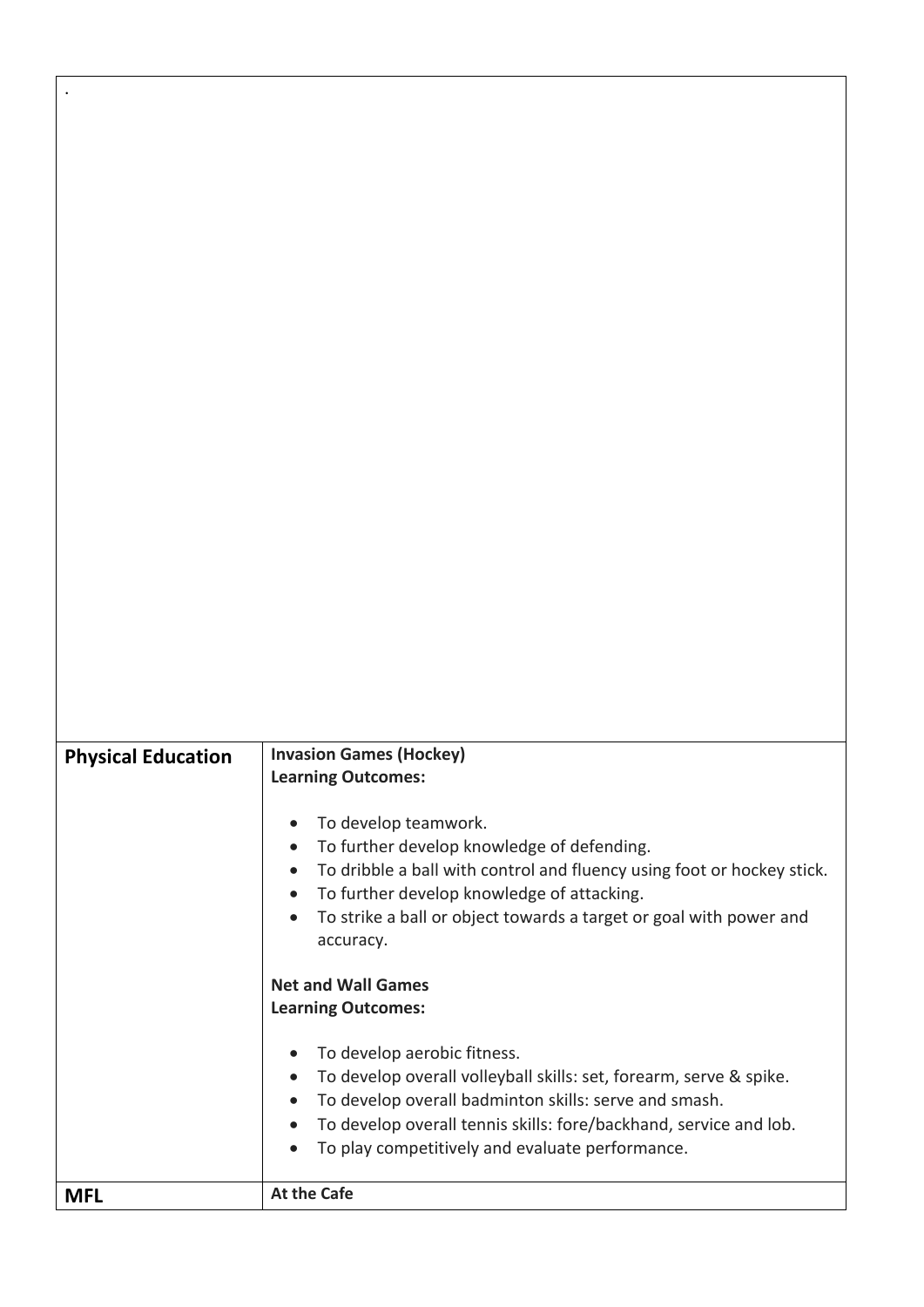| <b>Physical Education</b> | <b>Invasion Games (Hockey)</b><br><b>Learning Outcomes:</b>                                                                                                                                                                                                                                     |
|---------------------------|-------------------------------------------------------------------------------------------------------------------------------------------------------------------------------------------------------------------------------------------------------------------------------------------------|
|                           | To develop teamwork.<br>To further develop knowledge of defending.<br>To dribble a ball with control and fluency using foot or hockey stick.<br>To further develop knowledge of attacking.<br>$\bullet$<br>To strike a ball or object towards a target or goal with power and<br>accuracy.      |
|                           | <b>Net and Wall Games</b><br><b>Learning Outcomes:</b>                                                                                                                                                                                                                                          |
|                           | To develop aerobic fitness.<br>To develop overall volleyball skills: set, forearm, serve & spike.<br>To develop overall badminton skills: serve and smash.<br>To develop overall tennis skills: fore/backhand, service and lob.<br>$\bullet$<br>To play competitively and evaluate performance. |
| <b>MFL</b>                | <b>At the Cafe</b>                                                                                                                                                                                                                                                                              |

.